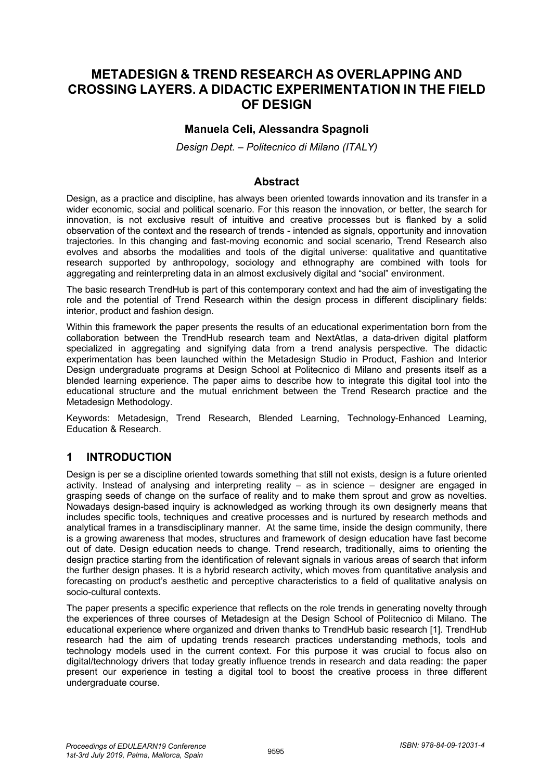## **METADESIGN & TREND RESEARCH AS OVERLAPPING AND CROSSING LAYERS. A DIDACTIC EXPERIMENTATION IN THE FIELD OF DESIGN**

### **Manuela Celi, Alessandra Spagnoli**

*Design Dept. – Politecnico di Milano (ITALY)*

#### **Abstract**

Design, as a practice and discipline, has always been oriented towards innovation and its transfer in a wider economic, social and political scenario. For this reason the innovation, or better, the search for innovation, is not exclusive result of intuitive and creative processes but is flanked by a solid observation of the context and the research of trends - intended as signals, opportunity and innovation trajectories. In this changing and fast-moving economic and social scenario, Trend Research also evolves and absorbs the modalities and tools of the digital universe: qualitative and quantitative research supported by anthropology, sociology and ethnography are combined with tools for aggregating and reinterpreting data in an almost exclusively digital and "social" environment.

The basic research TrendHub is part of this contemporary context and had the aim of investigating the role and the potential of Trend Research within the design process in different disciplinary fields: interior, product and fashion design.

Within this framework the paper presents the results of an educational experimentation born from the collaboration between the TrendHub research team and NextAtlas, a data-driven digital platform specialized in aggregating and signifying data from a trend analysis perspective. The didactic experimentation has been launched within the Metadesign Studio in Product, Fashion and Interior Design undergraduate programs at Design School at Politecnico di Milano and presents itself as a blended learning experience. The paper aims to describe how to integrate this digital tool into the educational structure and the mutual enrichment between the Trend Research practice and the Metadesign Methodology.

Keywords: Metadesign, Trend Research, Blended Learning, Technology-Enhanced Learning, Education & Research.

## **1 INTRODUCTION**

Design is per se a discipline oriented towards something that still not exists, design is a future oriented activity. Instead of analysing and interpreting reality – as in science – designer are engaged in grasping seeds of change on the surface of reality and to make them sprout and grow as novelties. Nowadays design-based inquiry is acknowledged as working through its own designerly means that includes specific tools, techniques and creative processes and is nurtured by research methods and analytical frames in a transdisciplinary manner. At the same time, inside the design community, there is a growing awareness that modes, structures and framework of design education have fast become out of date. Design education needs to change. Trend research, traditionally, aims to orienting the design practice starting from the identification of relevant signals in various areas of search that inform the further design phases. It is a hybrid research activity, which moves from quantitative analysis and forecasting on product's aesthetic and perceptive characteristics to a field of qualitative analysis on socio-cultural contexts.

The paper presents a specific experience that reflects on the role trends in generating novelty through the experiences of three courses of Metadesign at the Design School of Politecnico di Milano. The educational experience where organized and driven thanks to TrendHub basic research [1]. TrendHub research had the aim of updating trends research practices understanding methods, tools and technology models used in the current context. For this purpose it was crucial to focus also on digital/technology drivers that today greatly influence trends in research and data reading: the paper present our experience in testing a digital tool to boost the creative process in three different undergraduate course.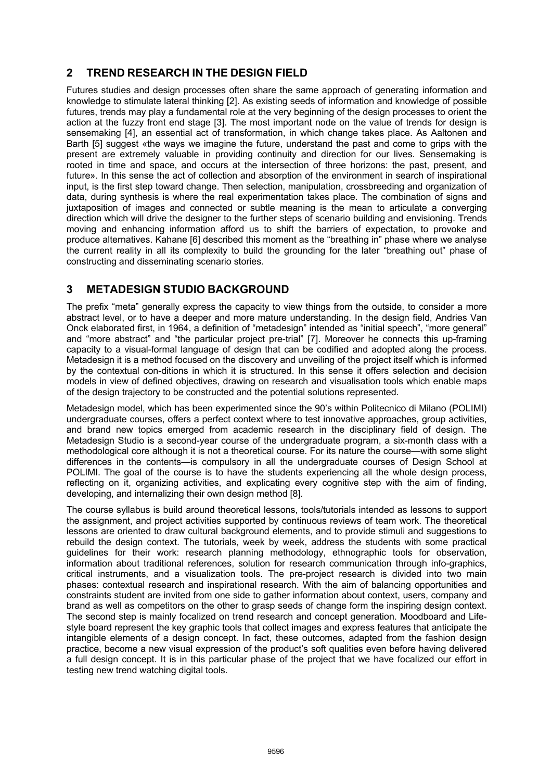## **2 TREND RESEARCH IN THE DESIGN FIELD**

Futures studies and design processes often share the same approach of generating information and knowledge to stimulate lateral thinking [2]. As existing seeds of information and knowledge of possible futures, trends may play a fundamental role at the very beginning of the design processes to orient the action at the fuzzy front end stage [3]. The most important node on the value of trends for design is sensemaking [4], an essential act of transformation, in which change takes place. As Aaltonen and Barth [5] suggest «the ways we imagine the future, understand the past and come to grips with the present are extremely valuable in providing continuity and direction for our lives. Sensemaking is rooted in time and space, and occurs at the intersection of three horizons: the past, present, and future». In this sense the act of collection and absorption of the environment in search of inspirational input, is the first step toward change. Then selection, manipulation, crossbreeding and organization of data, during synthesis is where the real experimentation takes place. The combination of signs and juxtaposition of images and connected or subtle meaning is the mean to articulate a converging direction which will drive the designer to the further steps of scenario building and envisioning. Trends moving and enhancing information afford us to shift the barriers of expectation, to provoke and produce alternatives. Kahane [6] described this moment as the "breathing in" phase where we analyse the current reality in all its complexity to build the grounding for the later "breathing out" phase of constructing and disseminating scenario stories.

## **3 METADESIGN STUDIO BACKGROUND**

The prefix "meta" generally express the capacity to view things from the outside, to consider a more abstract level, or to have a deeper and more mature understanding. In the design field, Andries Van Onck elaborated first, in 1964, a definition of "metadesign" intended as "initial speech", "more general" and "more abstract" and "the particular project pre-trial" [7]. Moreover he connects this up-framing capacity to a visual-formal language of design that can be codified and adopted along the process. Metadesign it is a method focused on the discovery and unveiling of the project itself which is informed by the contextual con-ditions in which it is structured. In this sense it offers selection and decision models in view of defined objectives, drawing on research and visualisation tools which enable maps of the design trajectory to be constructed and the potential solutions represented.

Metadesign model, which has been experimented since the 90's within Politecnico di Milano (POLIMI) undergraduate courses, offers a perfect context where to test innovative approaches, group activities, and brand new topics emerged from academic research in the disciplinary field of design. The Metadesign Studio is a second-year course of the undergraduate program, a six-month class with a methodological core although it is not a theoretical course. For its nature the course—with some slight differences in the contents—is compulsory in all the undergraduate courses of Design School at POLIMI. The goal of the course is to have the students experiencing all the whole design process, reflecting on it, organizing activities, and explicating every cognitive step with the aim of finding, developing, and internalizing their own design method [8].

The course syllabus is build around theoretical lessons, tools/tutorials intended as lessons to support the assignment, and project activities supported by continuous reviews of team work. The theoretical lessons are oriented to draw cultural background elements, and to provide stimuli and suggestions to rebuild the design context. The tutorials, week by week, address the students with some practical guidelines for their work: research planning methodology, ethnographic tools for observation, information about traditional references, solution for research communication through info-graphics, critical instruments, and a visualization tools. The pre-project research is divided into two main phases: contextual research and inspirational research. With the aim of balancing opportunities and constraints student are invited from one side to gather information about context, users, company and brand as well as competitors on the other to grasp seeds of change form the inspiring design context. The second step is mainly focalized on trend research and concept generation. Moodboard and Lifestyle board represent the key graphic tools that collect images and express features that anticipate the intangible elements of a design concept. In fact, these outcomes, adapted from the fashion design practice, become a new visual expression of the product's soft qualities even before having delivered a full design concept. It is in this particular phase of the project that we have focalized our effort in testing new trend watching digital tools.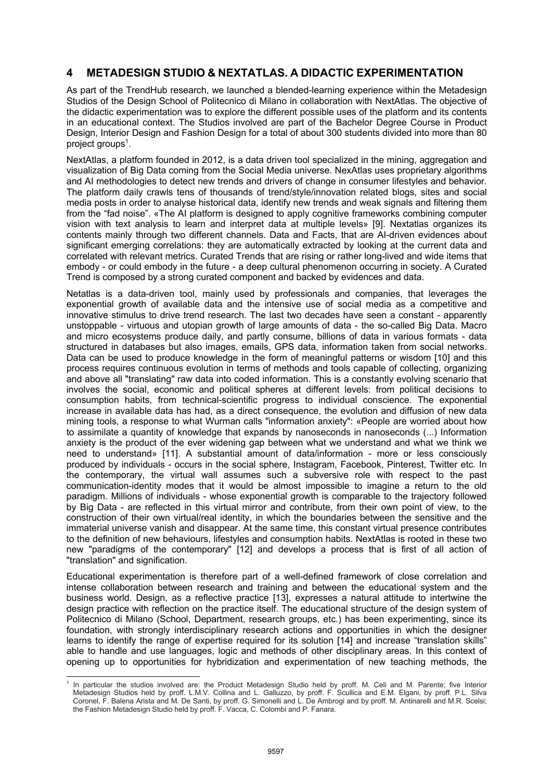## **4 METADESIGN STUDIO & NEXTATLAS. A DIDACTIC EXPERIMENTATION**

As part of the TrendHub research, we launched a blended-learning experience within the Metadesign Studios of the Design School of Politecnico di Milano in collaboration with NextAtlas. The objective of the didactic experimentation was to explore the different possible uses of the platform and its contents in an educational context. The Studios involved are part of the Bachelor Degree Course in Product Design, Interior Design and Fashion Design for a total of about 300 students divided into more than 80 project groups<sup>1</sup>.

NextAtlas, a platform founded in 2012, is a data driven tool specialized in the mining, aggregation and visualization of Big Data coming from the Social Media universe. NexAtlas uses proprietary algorithms and AI methodologies to detect new trends and drivers of change in consumer lifestyles and behavior. The platform daily crawls tens of thousands of trend/style/innovation related blogs, sites and social media posts in order to analyse historical data, identify new trends and weak signals and filtering them from the "fad noise". «The AI platform is designed to apply cognitive frameworks combining computer vision with text analysis to learn and interpret data at multiple levels» [9]. Nextatlas organizes its contents mainly through two different channels. Data and Facts, that are AI-driven evidences about significant emerging correlations: they are automatically extracted by looking at the current data and correlated with relevant metrics. Curated Trends that are rising or rather long-lived and wide items that embody - or could embody in the future - a deep cultural phenomenon occurring in society. A Curated Trend is composed by a strong curated component and backed by evidences and data.

Netatlas is a data-driven tool, mainly used by professionals and companies, that leverages the exponential growth of available data and the intensive use of social media as a competitive and innovative stimulus to drive trend research. The last two decades have seen a constant - apparently unstoppable - virtuous and utopian growth of large amounts of data - the so-called Big Data. Macro and micro ecosystems produce daily, and partly consume, billions of data in various formats - data structured in databases but also images, emails, GPS data, information taken from social networks. Data can be used to produce knowledge in the form of meaningful patterns or wisdom [10] and this process requires continuous evolution in terms of methods and tools capable of collecting, organizing and above all "translating" raw data into coded information. This is a constantly evolving scenario that involves the social, economic and political spheres at different levels: from political decisions to consumption habits, from technical-scientific progress to individual conscience. The exponential increase in available data has had, as a direct consequence, the evolution and diffusion of new data mining tools, a response to what Wurman calls "information anxiety": «People are worried about how to assimilate a quantity of knowledge that expands by nanoseconds in nanoseconds (...) Information anxiety is the product of the ever widening gap between what we understand and what we think we need to understand» [11]. A substantial amount of data/information - more or less consciously produced by individuals - occurs in the social sphere, Instagram, Facebook, Pinterest, Twitter etc. In the contemporary, the virtual wall assumes such a subversive role with respect to the past communication-identity modes that it would be almost impossible to imagine a return to the old paradigm. Millions of individuals - whose exponential growth is comparable to the trajectory followed by Big Data - are reflected in this virtual mirror and contribute, from their own point of view, to the construction of their own virtual/real identity, in which the boundaries between the sensitive and the immaterial universe vanish and disappear. At the same time, this constant virtual presence contributes to the definition of new behaviours, lifestyles and consumption habits. NextAtlas is rooted in these two new "paradigms of the contemporary" [12] and develops a process that is first of all action of "translation" and signification.

Educational experimentation is therefore part of a well-defined framework of close correlation and intense collaboration between research and training and between the educational system and the business world. Design, as a reflective practice [13], expresses a natural attitude to intertwine the design practice with reflection on the practice itself. The educational structure of the design system of Politecnico di Milano (School, Department, research groups, etc.) has been experimenting, since its foundation, with strongly interdisciplinary research actions and opportunities in which the designer learns to identify the range of expertise required for its solution [14] and increase "translation skills" able to handle and use languages, logic and methods of other disciplinary areas. In this context of opening up to opportunities for hybridization and experimentation of new teaching methods, the

 $\overline{a}$ <sup>1</sup> In particular the studios involved are: the Product Metadesign Studio held by proff. M. Celi and M. Parente; five Interior Metadesign Studios held by proff. L.M.V. Collina and L. Galluzzo, by proff. F. Scullica and E.M. Elgani, by proff. P.L. Silva Coronel, F. Balena Arista and M. De Santi, by proff. G. Simonelli and L. De Ambrogi and by proff. M. Antinarelli and M.R. Scelsi; the Fashion Metadesign Studio held by proff. F. Vacca, C. Colombi and P. Fanara.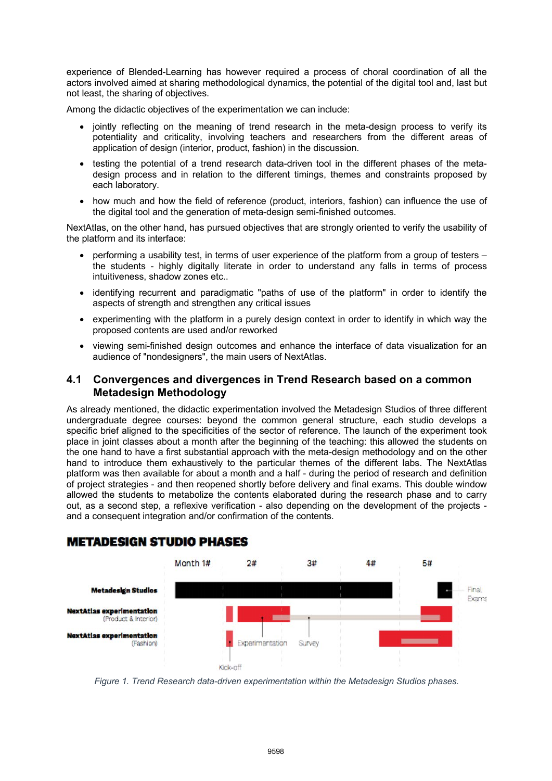experience of Blended-Learning has however required a process of choral coordination of all the actors involved aimed at sharing methodological dynamics, the potential of the digital tool and, last but not least, the sharing of objectives.

Among the didactic objectives of the experimentation we can include:

- jointly reflecting on the meaning of trend research in the meta-design process to verify its potentiality and criticality, involving teachers and researchers from the different areas of application of design (interior, product, fashion) in the discussion.
- testing the potential of a trend research data-driven tool in the different phases of the metadesign process and in relation to the different timings, themes and constraints proposed by each laboratory.
- how much and how the field of reference (product, interiors, fashion) can influence the use of the digital tool and the generation of meta-design semi-finished outcomes.

NextAtlas, on the other hand, has pursued objectives that are strongly oriented to verify the usability of the platform and its interface:

- performing a usability test, in terms of user experience of the platform from a group of testers the students - highly digitally literate in order to understand any falls in terms of process intuitiveness, shadow zones etc..
- identifying recurrent and paradigmatic "paths of use of the platform" in order to identify the aspects of strength and strengthen any critical issues
- experimenting with the platform in a purely design context in order to identify in which way the proposed contents are used and/or reworked
- viewing semi-finished design outcomes and enhance the interface of data visualization for an audience of "nondesigners", the main users of NextAtlas.

### **4.1 Convergences and divergences in Trend Research based on a common Metadesign Methodology**

As already mentioned, the didactic experimentation involved the Metadesign Studios of three different undergraduate degree courses: beyond the common general structure, each studio develops a specific brief aligned to the specificities of the sector of reference. The launch of the experiment took place in joint classes about a month after the beginning of the teaching: this allowed the students on the one hand to have a first substantial approach with the meta-design methodology and on the other hand to introduce them exhaustively to the particular themes of the different labs. The NextAtlas platform was then available for about a month and a half - during the period of research and definition of project strategies - and then reopened shortly before delivery and final exams. This double window allowed the students to metabolize the contents elaborated during the research phase and to carry out, as a second step, a reflexive verification - also depending on the development of the projects and a consequent integration and/or confirmation of the contents.



# **METADESIGN STUDIO PHASES**

*Figure 1. Trend Research data-driven experimentation within the Metadesign Studios phases.*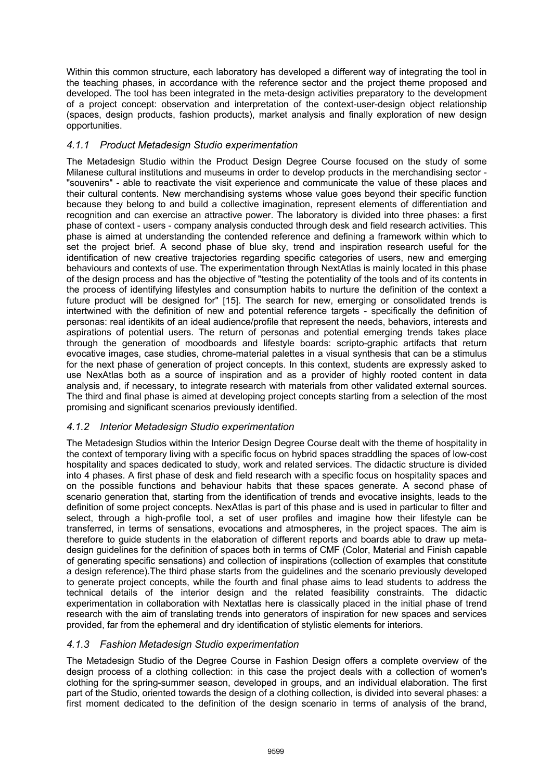Within this common structure, each laboratory has developed a different way of integrating the tool in the teaching phases, in accordance with the reference sector and the project theme proposed and developed. The tool has been integrated in the meta-design activities preparatory to the development of a project concept: observation and interpretation of the context-user-design object relationship (spaces, design products, fashion products), market analysis and finally exploration of new design opportunities.

### *4.1.1 Product Metadesign Studio experimentation*

The Metadesign Studio within the Product Design Degree Course focused on the study of some Milanese cultural institutions and museums in order to develop products in the merchandising sector - "souvenirs" - able to reactivate the visit experience and communicate the value of these places and their cultural contents. New merchandising systems whose value goes beyond their specific function because they belong to and build a collective imagination, represent elements of differentiation and recognition and can exercise an attractive power. The laboratory is divided into three phases: a first phase of context - users - company analysis conducted through desk and field research activities. This phase is aimed at understanding the contended reference and defining a framework within which to set the project brief. A second phase of blue sky, trend and inspiration research useful for the identification of new creative trajectories regarding specific categories of users, new and emerging behaviours and contexts of use. The experimentation through NextAtlas is mainly located in this phase of the design process and has the objective of "testing the potentiality of the tools and of its contents in the process of identifying lifestyles and consumption habits to nurture the definition of the context a future product will be designed for" [15]. The search for new, emerging or consolidated trends is intertwined with the definition of new and potential reference targets - specifically the definition of personas: real identikits of an ideal audience/profile that represent the needs, behaviors, interests and aspirations of potential users. The return of personas and potential emerging trends takes place through the generation of moodboards and lifestyle boards: scripto-graphic artifacts that return evocative images, case studies, chrome-material palettes in a visual synthesis that can be a stimulus for the next phase of generation of project concepts. In this context, students are expressly asked to use NexAtlas both as a source of inspiration and as a provider of highly rooted content in data analysis and, if necessary, to integrate research with materials from other validated external sources. The third and final phase is aimed at developing project concepts starting from a selection of the most promising and significant scenarios previously identified.

### *4.1.2 Interior Metadesign Studio experimentation*

The Metadesign Studios within the Interior Design Degree Course dealt with the theme of hospitality in the context of temporary living with a specific focus on hybrid spaces straddling the spaces of low-cost hospitality and spaces dedicated to study, work and related services. The didactic structure is divided into 4 phases. A first phase of desk and field research with a specific focus on hospitality spaces and on the possible functions and behaviour habits that these spaces generate. A second phase of scenario generation that, starting from the identification of trends and evocative insights, leads to the definition of some project concepts. NexAtlas is part of this phase and is used in particular to filter and select, through a high-profile tool, a set of user profiles and imagine how their lifestyle can be transferred, in terms of sensations, evocations and atmospheres, in the project spaces. The aim is therefore to guide students in the elaboration of different reports and boards able to draw up metadesign guidelines for the definition of spaces both in terms of CMF (Color, Material and Finish capable of generating specific sensations) and collection of inspirations (collection of examples that constitute a design reference).The third phase starts from the guidelines and the scenario previously developed to generate project concepts, while the fourth and final phase aims to lead students to address the technical details of the interior design and the related feasibility constraints. The didactic experimentation in collaboration with Nextatlas here is classically placed in the initial phase of trend research with the aim of translating trends into generators of inspiration for new spaces and services provided, far from the ephemeral and dry identification of stylistic elements for interiors.

### *4.1.3 Fashion Metadesign Studio experimentation*

The Metadesign Studio of the Degree Course in Fashion Design offers a complete overview of the design process of a clothing collection: in this case the project deals with a collection of women's clothing for the spring-summer season, developed in groups, and an individual elaboration. The first part of the Studio, oriented towards the design of a clothing collection, is divided into several phases: a first moment dedicated to the definition of the design scenario in terms of analysis of the brand,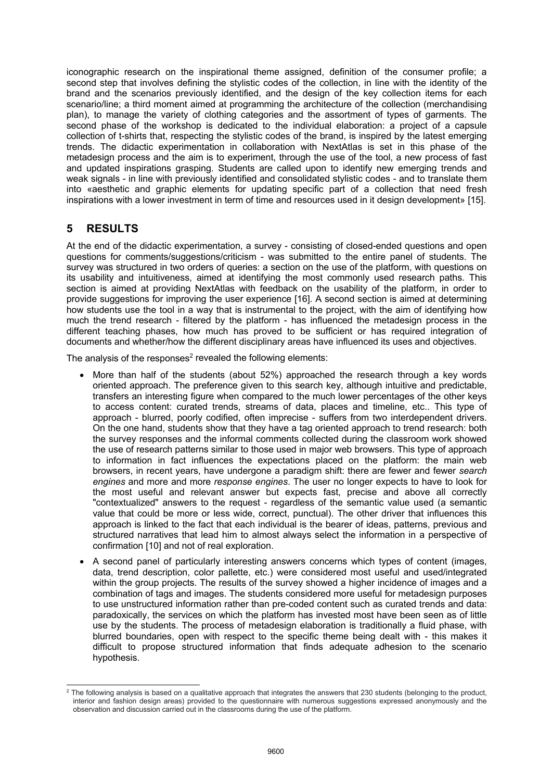iconographic research on the inspirational theme assigned, definition of the consumer profile; a second step that involves defining the stylistic codes of the collection, in line with the identity of the brand and the scenarios previously identified, and the design of the key collection items for each scenario/line; a third moment aimed at programming the architecture of the collection (merchandising plan), to manage the variety of clothing categories and the assortment of types of garments. The second phase of the workshop is dedicated to the individual elaboration: a project of a capsule collection of t-shirts that, respecting the stylistic codes of the brand, is inspired by the latest emerging trends. The didactic experimentation in collaboration with NextAtlas is set in this phase of the metadesign process and the aim is to experiment, through the use of the tool, a new process of fast and updated inspirations grasping. Students are called upon to identify new emerging trends and weak signals - in line with previously identified and consolidated stylistic codes - and to translate them into «aesthetic and graphic elements for updating specific part of a collection that need fresh inspirations with a lower investment in term of time and resources used in it design development» [15].

## **5 RESULTS**

At the end of the didactic experimentation, a survey - consisting of closed-ended questions and open questions for comments/suggestions/criticism - was submitted to the entire panel of students. The survey was structured in two orders of queries: a section on the use of the platform, with questions on its usability and intuitiveness, aimed at identifying the most commonly used research paths. This section is aimed at providing NextAtlas with feedback on the usability of the platform, in order to provide suggestions for improving the user experience [16]. A second section is aimed at determining how students use the tool in a way that is instrumental to the project, with the aim of identifying how much the trend research - filtered by the platform - has influenced the metadesign process in the different teaching phases, how much has proved to be sufficient or has required integration of documents and whether/how the different disciplinary areas have influenced its uses and objectives.

The analysis of the responses<sup>2</sup> revealed the following elements:

- More than half of the students (about 52%) approached the research through a key words oriented approach. The preference given to this search key, although intuitive and predictable, transfers an interesting figure when compared to the much lower percentages of the other keys to access content: curated trends, streams of data, places and timeline, etc.. This type of approach - blurred, poorly codified, often imprecise - suffers from two interdependent drivers. On the one hand, students show that they have a tag oriented approach to trend research: both the survey responses and the informal comments collected during the classroom work showed the use of research patterns similar to those used in major web browsers. This type of approach to information in fact influences the expectations placed on the platform: the main web browsers, in recent years, have undergone a paradigm shift: there are fewer and fewer *search engines* and more and more *response engines*. The user no longer expects to have to look for the most useful and relevant answer but expects fast, precise and above all correctly "contextualized" answers to the request - regardless of the semantic value used (a semantic value that could be more or less wide, correct, punctual). The other driver that influences this approach is linked to the fact that each individual is the bearer of ideas, patterns, previous and structured narratives that lead him to almost always select the information in a perspective of confirmation [10] and not of real exploration.
- A second panel of particularly interesting answers concerns which types of content (images, data, trend description, color pallette, etc.) were considered most useful and used/integrated within the group projects. The results of the survey showed a higher incidence of images and a combination of tags and images. The students considered more useful for metadesign purposes to use unstructured information rather than pre-coded content such as curated trends and data: paradoxically, the services on which the platform has invested most have been seen as of little use by the students. The process of metadesign elaboration is traditionally a fluid phase, with blurred boundaries, open with respect to the specific theme being dealt with - this makes it difficult to propose structured information that finds adequate adhesion to the scenario hypothesis.

 $\overline{a}$  $^2$  The following analysis is based on a qualitative approach that integrates the answers that 230 students (belonging to the product, interior and fashion design areas) provided to the questionnaire with numerous suggestions expressed anonymously and the observation and discussion carried out in the classrooms during the use of the platform.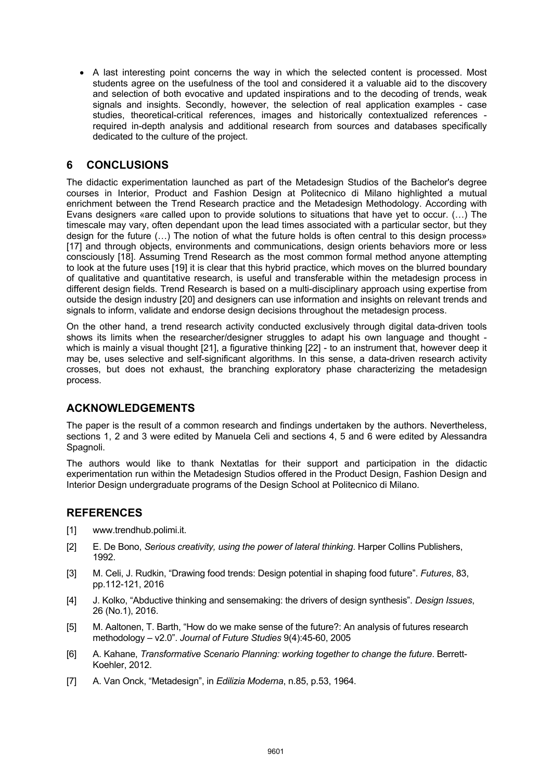• A last interesting point concerns the way in which the selected content is processed. Most students agree on the usefulness of the tool and considered it a valuable aid to the discovery and selection of both evocative and updated inspirations and to the decoding of trends, weak signals and insights. Secondly, however, the selection of real application examples - case studies, theoretical-critical references, images and historically contextualized references required in-depth analysis and additional research from sources and databases specifically dedicated to the culture of the project.

## **6 CONCLUSIONS**

The didactic experimentation launched as part of the Metadesign Studios of the Bachelor's degree courses in Interior, Product and Fashion Design at Politecnico di Milano highlighted a mutual enrichment between the Trend Research practice and the Metadesign Methodology. According with Evans designers «are called upon to provide solutions to situations that have yet to occur. (…) The timescale may vary, often dependant upon the lead times associated with a particular sector, but they design for the future (…) The notion of what the future holds is often central to this design process» [17] and through objects, environments and communications, design orients behaviors more or less consciously [18]. Assuming Trend Research as the most common formal method anyone attempting to look at the future uses [19] it is clear that this hybrid practice, which moves on the blurred boundary of qualitative and quantitative research, is useful and transferable within the metadesign process in different design fields. Trend Research is based on a multi-disciplinary approach using expertise from outside the design industry [20] and designers can use information and insights on relevant trends and signals to inform, validate and endorse design decisions throughout the metadesign process.

On the other hand, a trend research activity conducted exclusively through digital data-driven tools shows its limits when the researcher/designer struggles to adapt his own language and thought which is mainly a visual thought [21], a figurative thinking [22] - to an instrument that, however deep it may be, uses selective and self-significant algorithms. In this sense, a data-driven research activity crosses, but does not exhaust, the branching exploratory phase characterizing the metadesign process.

## **ACKNOWLEDGEMENTS**

The paper is the result of a common research and findings undertaken by the authors. Nevertheless, sections 1, 2 and 3 were edited by Manuela Celi and sections 4, 5 and 6 were edited by Alessandra Spagnoli.

The authors would like to thank Nextatlas for their support and participation in the didactic experimentation run within the Metadesign Studios offered in the Product Design, Fashion Design and Interior Design undergraduate programs of the Design School at Politecnico di Milano.

### **REFERENCES**

- [1] www.trendhub.polimi.it.
- [2] E. De Bono, *Serious creativity, using the power of lateral thinking*. Harper Collins Publishers, 1992.
- [3] M. Celi, J. Rudkin, "Drawing food trends: Design potential in shaping food future". *Futures*, 83, pp.112-121, 2016
- [4] J. Kolko, "Abductive thinking and sensemaking: the drivers of design synthesis". *Design Issues*, 26 (No.1), 2016.
- [5] M. Aaltonen, T. Barth, "How do we make sense of the future?: An analysis of futures research methodology – v2.0". *Journal of Future Studies* 9(4):45-60, 2005
- [6] A. Kahane, *Transformative Scenario Planning: working together to change the future*. Berrett-Koehler, 2012.
- [7] A. Van Onck, "Metadesign", in *Edilizia Moderna*, n.85, p.53, 1964.